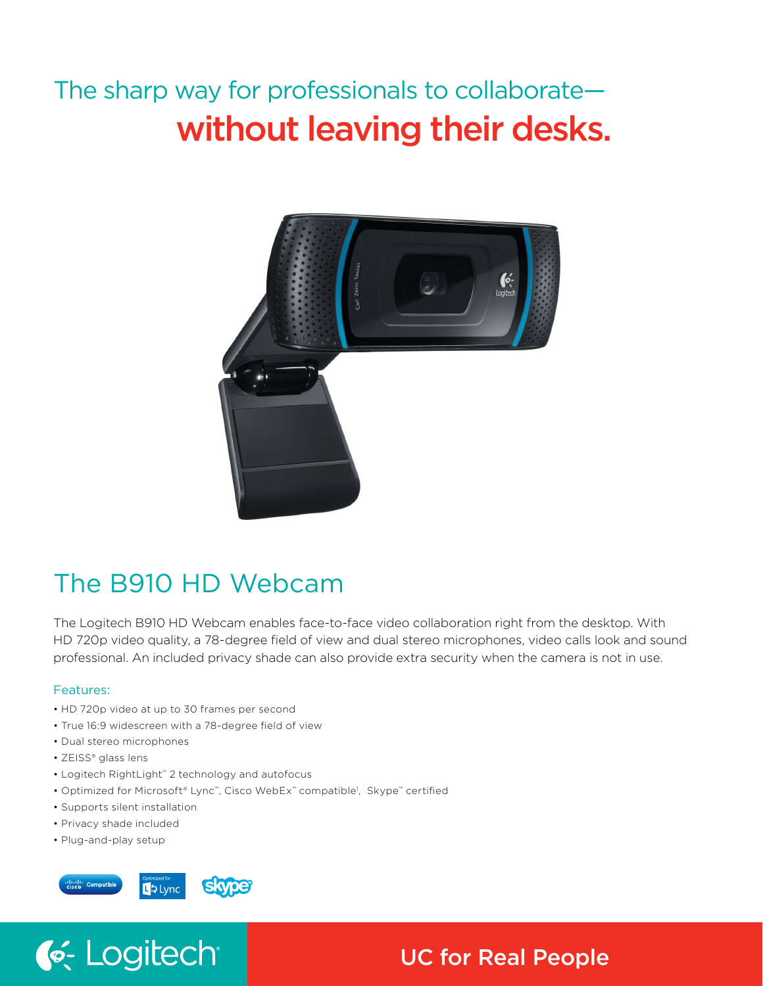# The sharp way for professionals to collaborate without leaving their desks.



# The B910 HD Webcam

The Logitech B910 HD Webcam enables face-to-face video collaboration right from the desktop. With HD 720p video quality, a 78-degree field of view and dual stereo microphones, video calls look and sound professional. An included privacy shade can also provide extra security when the camera is not in use.

## Features:

- HD 720p video at up to 30 frames per second
- True 16:9 widescreen with a 78-degree field of view
- Dual stereo microphones
- ZEISS® glass lens
- Logitech RightLight™ 2 technology and autofocus
- Optimized for Microsoft® Lync™, Cisco WebEx™ compatible<sup>1</sup>, Skype™ certified
- Supports silent installation

C. Logitech

- Privacy shade included
- Plug-and-play setup



# UC for Real People